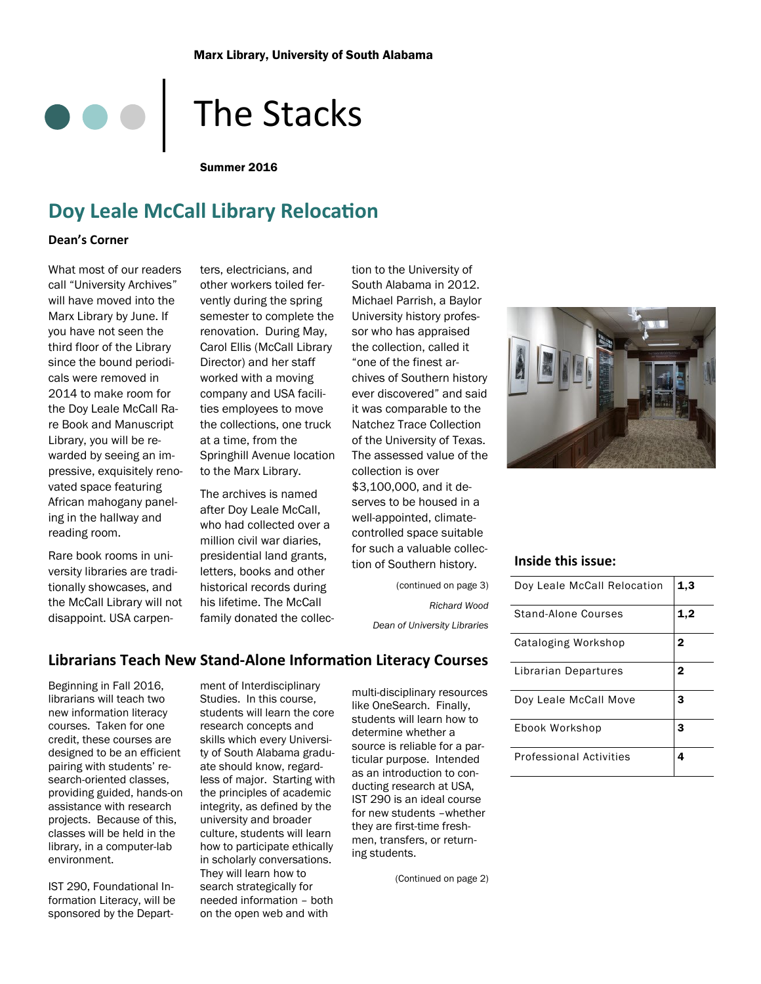# The Stacks

Summer 2016

# **Doy Leale McCall Library Relocation**

#### **Dean's Corner**

What most of our readers call "University Archives" will have moved into the Marx Library by June. If you have not seen the third floor of the Library since the bound periodicals were removed in 2014 to make room for the Doy Leale McCall Rare Book and Manuscript Library, you will be rewarded by seeing an impressive, exquisitely renovated space featuring African mahogany paneling in the hallway and reading room.

Rare book rooms in university libraries are traditionally showcases, and the McCall Library will not disappoint. USA carpen-

ters, electricians, and other workers toiled fervently during the spring semester to complete the renovation. During May, Carol Ellis (McCall Library Director) and her staff worked with a moving company and USA facilities employees to move the collections, one truck at a time, from the Springhill Avenue location to the Marx Library.

The archives is named after Doy Leale McCall, who had collected over a million civil war diaries, presidential land grants, letters, books and other historical records during his lifetime. The McCall family donated the collection to the University of South Alabama in 2012. Michael Parrish, a Baylor University history professor who has appraised the collection, called it "one of the finest archives of Southern history ever discovered" and said it was comparable to the Natchez Trace Collection of the University of Texas. The assessed value of the collection is over \$3,100,000, and it deserves to be housed in a well-appointed, climatecontrolled space suitable for such a valuable collection of Southern history.

> (continued on page 3) *Richard Wood Dean of University Libraries*



#### **Inside this issue:**

| Doy Leale McCall Relocation    | 1,3          |
|--------------------------------|--------------|
| Stand-Alone Courses            | 1,2          |
| Cataloging Workshop            | 2            |
| Librarian Departures           | $\mathbf{2}$ |
| Doy Leale McCall Move          | 3            |
| Ebook Workshop                 | 3            |
| <b>Professional Activities</b> | 4            |

#### **Librarians Teach New Stand-Alone Information Literacy Courses**

Beginning in Fall 2016, librarians will teach two new information literacy courses. Taken for one credit, these courses are designed to be an efficient pairing with students' research-oriented classes, providing guided, hands-on assistance with research projects. Because of this, classes will be held in the library, in a computer-lab environment.

IST 290, Foundational Information Literacy, will be sponsored by the Depart-

ment of Interdisciplinary Studies. In this course, students will learn the core research concepts and skills which every University of South Alabama graduate should know, regardless of major. Starting with the principles of academic integrity, as defined by the university and broader culture, students will learn how to participate ethically in scholarly conversations. They will learn how to search strategically for needed information – both on the open web and with

multi-disciplinary resources like OneSearch. Finally, students will learn how to determine whether a source is reliable for a particular purpose. Intended as an introduction to conducting research at USA, IST 290 is an ideal course for new students –whether they are first-time freshmen, transfers, or returning students.

(Continued on page 2)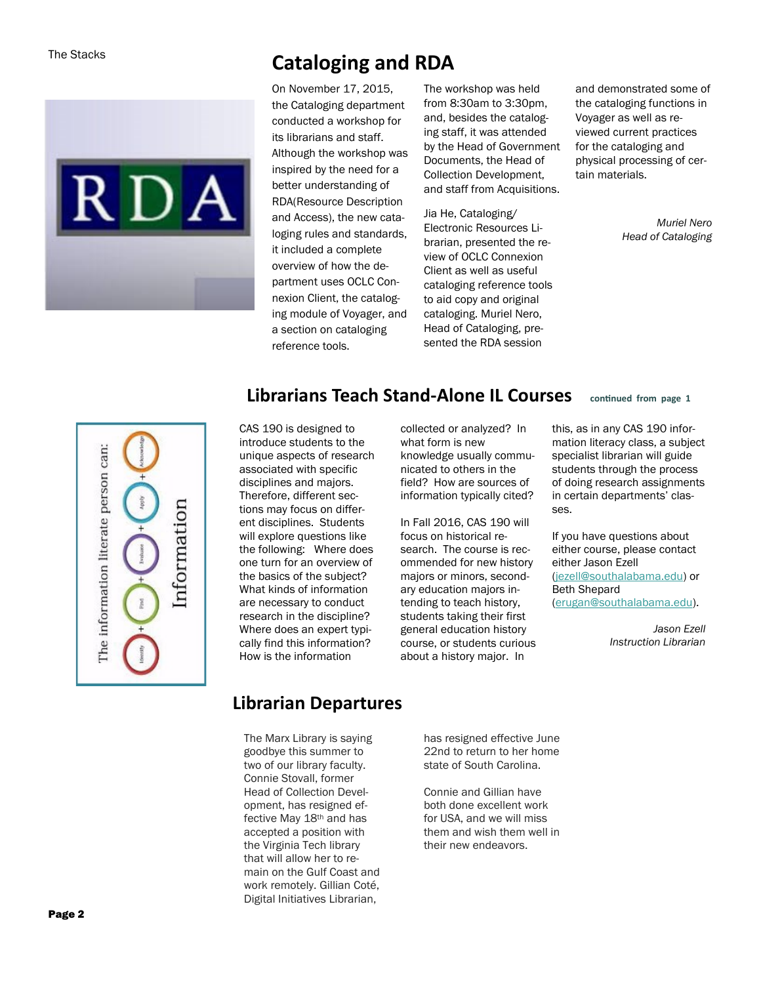

# **Cataloging and RDA**

On November 17, 2015, the Cataloging department conducted a workshop for its librarians and staff. Although the workshop was inspired by the need for a better understanding of RDA(Resource Description and Access), the new cataloging rules and standards, it included a complete overview of how the department uses OCLC Connexion Client, the cataloging module of Voyager, and a section on cataloging reference tools.

The workshop was held from 8:30am to 3:30pm, and, besides the cataloging staff, it was attended by the Head of Government Documents, the Head of Collection Development, and staff from Acquisitions.

Jia He, Cataloging/ Electronic Resources Librarian, presented the review of OCLC Connexion Client as well as useful cataloging reference tools to aid copy and original cataloging. Muriel Nero, Head of Cataloging, presented the RDA session

and demonstrated some of the cataloging functions in Voyager as well as reviewed current practices for the cataloging and physical processing of certain materials.

> *Muriel Nero Head of Cataloging*



## **Librarians Teach Stand-Alone IL Courses continued from page <sup>1</sup>**

CAS 190 is designed to introduce students to the unique aspects of research associated with specific disciplines and majors. Therefore, different sections may focus on different disciplines. Students will explore questions like the following: Where does one turn for an overview of the basics of the subject? What kinds of information are necessary to conduct research in the discipline? Where does an expert typically find this information? How is the information

collected or analyzed? In what form is new knowledge usually communicated to others in the field? How are sources of information typically cited?

In Fall 2016, CAS 190 will focus on historical research. The course is recommended for new history majors or minors, secondary education majors intending to teach history, students taking their first general education history course, or students curious about a history major. In

this, as in any CAS 190 information literacy class, a subject specialist librarian will guide students through the process of doing research assignments in certain departments' classes.

If you have questions about either course, please contact either Jason Ezell [\(jezell@southalabama.edu\)](mailto:jezell@southalabama.edu) or Beth Shepard [\(erugan@southalabama.edu\)](mailto:erugan@southalabama.edu).

> *Jason Ezell Instruction Librarian*

### **Librarian Departures**

The Marx Library is saying goodbye this summer to two of our library faculty. Connie Stovall, former Head of Collection Development, has resigned effective May 18th and has accepted a position with the Virginia Tech library that will allow her to remain on the Gulf Coast and work remotely. Gillian Coté, Digital Initiatives Librarian,

has resigned effective June 22nd to return to her home state of South Carolina.

Connie and Gillian have both done excellent work for USA, and we will miss them and wish them well in their new endeavors.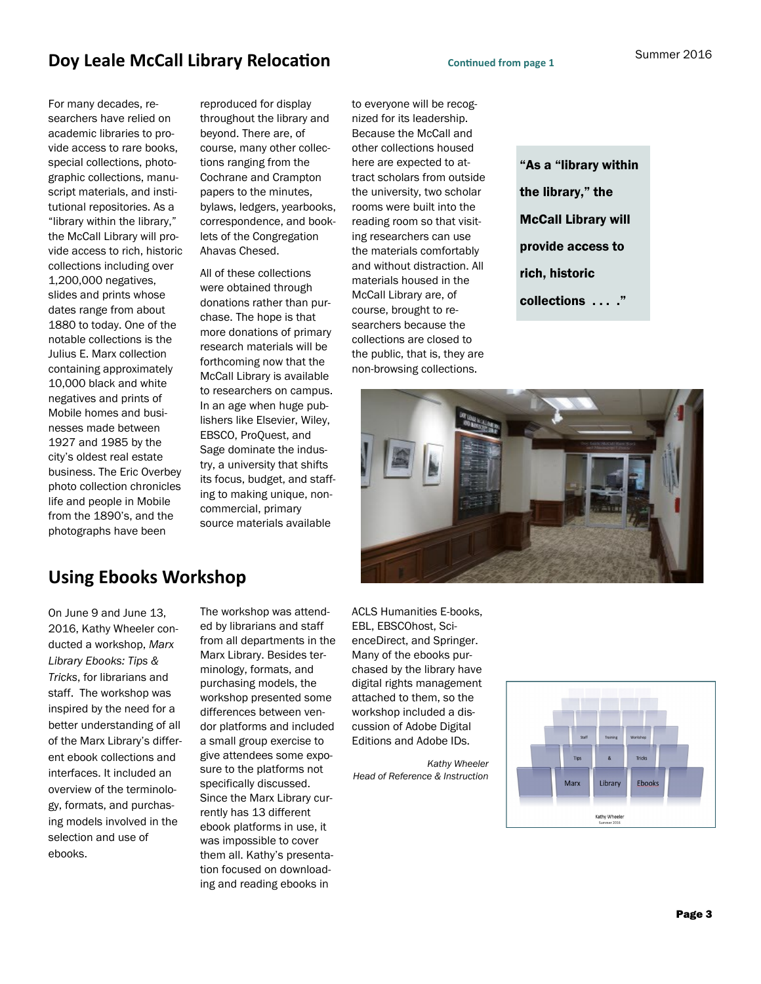## **Doy Leale McCall Library Relocation** *Continued from page 1*

For many decades, researchers have relied on academic libraries to provide access to rare books, special collections, photographic collections, manuscript materials, and institutional repositories. As a "library within the library," the McCall Library will provide access to rich, historic collections including over 1,200,000 negatives, slides and prints whose dates range from about 1880 to today. One of the notable collections is the Julius E. Marx collection containing approximately 10,000 black and white negatives and prints of Mobile homes and businesses made between 1927 and 1985 by the city's oldest real estate business. The Eric Overbey photo collection chronicles life and people in Mobile from the 1890's, and the photographs have been

reproduced for display throughout the library and beyond. There are, of course, many other collections ranging from the Cochrane and Crampton papers to the minutes, bylaws, ledgers, yearbooks, correspondence, and booklets of the Congregation Ahavas Chesed.

All of these collections were obtained through donations rather than purchase. The hope is that more donations of primary research materials will be forthcoming now that the McCall Library is available to researchers on campus. In an age when huge publishers like Elsevier, Wiley, EBSCO, ProQuest, and Sage dominate the industry, a university that shifts its focus, budget, and staffing to making unique, noncommercial, primary source materials available

to everyone will be recognized for its leadership. Because the McCall and other collections housed here are expected to attract scholars from outside the university, two scholar rooms were built into the reading room so that visiting researchers can use the materials comfortably and without distraction. All materials housed in the McCall Library are, of course, brought to researchers because the collections are closed to the public, that is, they are non-browsing collections.

"As a "library within the library," the McCall Library will provide access to rich, historic collections . . . ."



## **Using Ebooks Workshop**

On June 9 and June 13, 2016, Kathy Wheeler conducted a workshop, *Marx Library Ebooks: Tips & Tricks*, for librarians and staff. The workshop was inspired by the need for a better understanding of all of the Marx Library's different ebook collections and interfaces. It included an overview of the terminology, formats, and purchasing models involved in the selection and use of ebooks.

The workshop was attended by librarians and staff from all departments in the Marx Library. Besides terminology, formats, and purchasing models, the workshop presented some differences between vendor platforms and included a small group exercise to give attendees some exposure to the platforms not specifically discussed. Since the Marx Library currently has 13 different ebook platforms in use, it was impossible to cover them all. Kathy's presentation focused on downloading and reading ebooks in

ACLS Humanities E-books, EBL, EBSCOhost, ScienceDirect, and Springer. Many of the ebooks purchased by the library have digital rights management attached to them, so the workshop included a discussion of Adobe Digital Editions and Adobe IDs.

*Kathy Wheeler Head of Reference & Instruction*